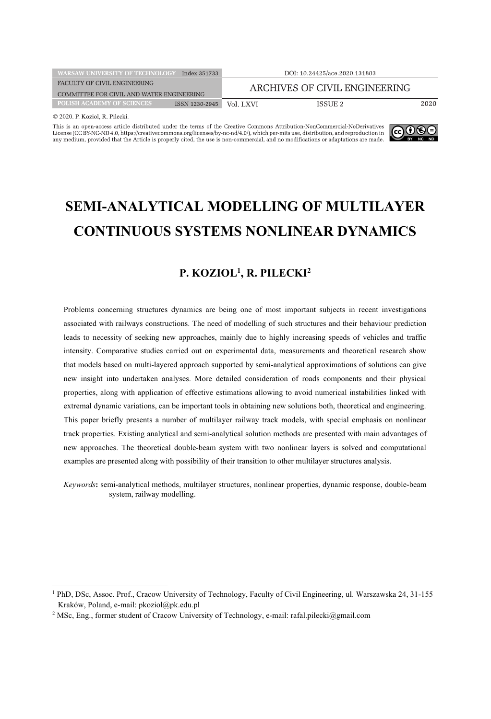| <b>WARSAW UNIVERSITY OF TECHNOLOGY</b><br>Index 351733 |                | DOI: 10.24425/ace.2020.131803 |         |      |
|--------------------------------------------------------|----------------|-------------------------------|---------|------|
| FACULTY OF CIVIL ENGINEERING                           |                | ARCHIVES OF CIVIL ENGINEERING |         |      |
| COMMITTEE FOR CIVIL AND WATER ENGINEERING              |                |                               |         |      |
| <b>POLISH ACADEMY OF SCIENCES</b>                      | ISSN 1230-2945 | Vol. LXVI                     | ISSUE 2 | 2020 |
| $\odot$ 2020 D $V \ddotsc$ D Dilooki                   |                |                               |         |      |

This is an open-access article distributed under the terms of the Creative Commons Attribution-NonCommercial-NoDerivatives License (CC BY-NC-ND 4.0, https://creativecommons.org/licenses/by-nc-nd/4.0/), which per-mits use, distribution, and reproduction in any medium, provided that the Article is properly cited, the use is non-commercial, and n



# **SEMI-ANALYTICAL MODELLING OF MULTILAYER CONTINUOUS SYSTEMS NONLINEAR DYNAMICS**

# **P. KOZIOL1 , R. PILECKI2**

Problems concerning structures dynamics are being one of most important subjects in recent investigations associated with railways constructions. The need of modelling of such structures and their behaviour prediction leads to necessity of seeking new approaches, mainly due to highly increasing speeds of vehicles and traffic intensity. Comparative studies carried out on experimental data, measurements and theoretical research show that models based on multi-layered approach supported by semi-analytical approximations of solutions can give new insight into undertaken analyses. More detailed consideration of roads components and their physical properties, along with application of effective estimations allowing to avoid numerical instabilities linked with extremal dynamic variations, can be important tools in obtaining new solutions both, theoretical and engineering. This paper briefly presents a number of multilayer railway track models, with special emphasis on nonlinear track properties. Existing analytical and semi-analytical solution methods are presented with main advantages of new approaches. The theoretical double-beam system with two nonlinear layers is solved and computational examples are presented along with possibility of their transition to other multilayer structures analysis.

*Keywords***:** semi-analytical methods, multilayer structures, nonlinear properties, dynamic response, double-beam system, railway modelling.

<sup>1</sup> PhD, DSc, Assoc. Prof., Cracow University of Technology, Faculty of Civil Engineering, ul. Warszawska 24, 31-155 Kraków, Poland, e-mail: pkoziol@pk.edu.pl

<sup>2</sup> MSc, Eng., former student of Cracow University of Technology, e-mail: rafal.pilecki@gmail.com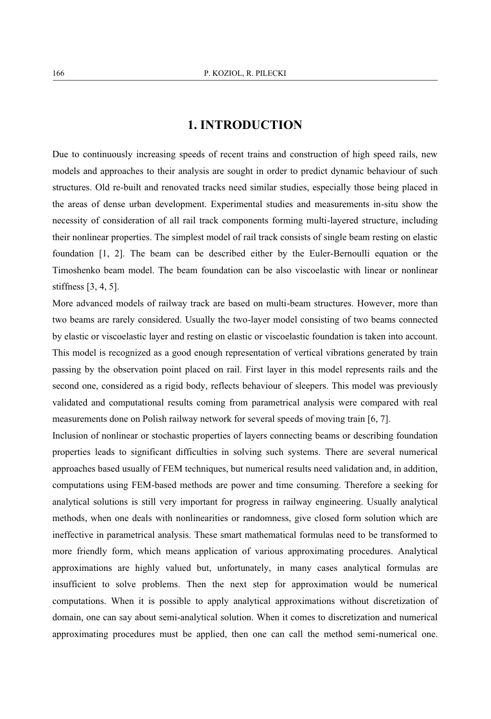## **1. INTRODUCTION**

Due to continuously increasing speeds of recent trains and construction of high speed rails, new models and approaches to their analysis are sought in order to predict dynamic behaviour of such structures. Old re-built and renovated tracks need similar studies, especially those being placed in the areas of dense urban development. Experimental studies and measurements in-situ show the necessity of consideration of all rail track components forming multi-layered structure, including their nonlinear properties. The simplest model of rail track consists of single beam resting on elastic foundation [1, 2]. The beam can be described either by the Euler-Bernoulli equation or the Timoshenko beam model. The beam foundation can be also viscoelastic with linear or nonlinear stiffness [3, 4, 5].

More advanced models of railway track are based on multi-beam structures. However, more than two beams are rarely considered. Usually the two-layer model consisting of two beams connected by elastic or viscoelastic layer and resting on elastic or viscoelastic foundation is taken into account. This model is recognized as a good enough representation of vertical vibrations generated by train passing by the observation point placed on rail. First layer in this model represents rails and the second one, considered as a rigid body, reflects behaviour of sleepers. This model was previously validated and computational results coming from parametrical analysis were compared with real measurements done on Polish railway network for several speeds of moving train [6, 7].

Inclusion of nonlinear or stochastic properties of layers connecting beams or describing foundation properties leads to significant difficulties in solving such systems. There are several numerical approaches based usually of FEM techniques, but numerical results need validation and, in addition, computations using FEM-based methods are power and time consuming. Therefore a seeking for analytical solutions is still very important for progress in railway engineering. Usually analytical methods, when one deals with nonlinearities or randomness, give closed form solution which are ineffective in parametrical analysis. These smart mathematical formulas need to be transformed to more friendly form, which means application of various approximating procedures. Analytical approximations are highly valued but, unfortunately, in many cases analytical formulas are insufficient to solve problems. Then the next step for approximation would be numerical computations. When it is possible to apply analytical approximations without discretization of domain, one can say about semi-analytical solution. When it comes to discretization and numerical approximating procedures must be applied, then one can call the method semi-numerical one.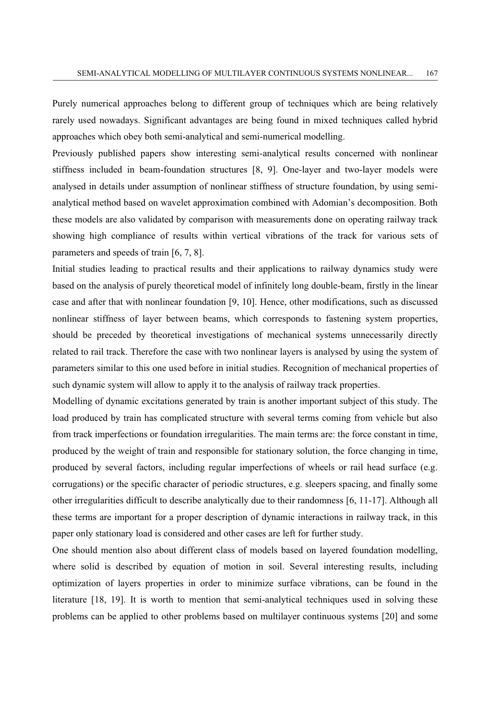Purely numerical approaches belong to different group of techniques which are being relatively rarely used nowadays. Significant advantages are being found in mixed techniques called hybrid approaches which obey both semi-analytical and semi-numerical modelling.

Previously published papers show interesting semi-analytical results concerned with nonlinear stiffness included in beam-foundation structures [8, 9]. One-layer and two-layer models were analysed in details under assumption of nonlinear stiffness of structure foundation, by using semianalytical method based on wavelet approximation combined with Adomian's decomposition. Both these models are also validated by comparison with measurements done on operating railway track showing high compliance of results within vertical vibrations of the track for various sets of parameters and speeds of train [6, 7, 8].

Initial studies leading to practical results and their applications to railway dynamics study were based on the analysis of purely theoretical model of infinitely long double-beam, firstly in the linear case and after that with nonlinear foundation [9, 10]. Hence, other modifications, such as discussed nonlinear stiffness of layer between beams, which corresponds to fastening system properties, should be preceded by theoretical investigations of mechanical systems unnecessarily directly related to rail track. Therefore the case with two nonlinear layers is analysed by using the system of parameters similar to this one used before in initial studies. Recognition of mechanical properties of such dynamic system will allow to apply it to the analysis of railway track properties.

Modelling of dynamic excitations generated by train is another important subject of this study. The load produced by train has complicated structure with several terms coming from vehicle but also from track imperfections or foundation irregularities. The main terms are: the force constant in time, produced by the weight of train and responsible for stationary solution, the force changing in time, produced by several factors, including regular imperfections of wheels or rail head surface (e.g. corrugations) or the specific character of periodic structures, e.g. sleepers spacing, and finally some other irregularities difficult to describe analytically due to their randomness [6, 11-17]. Although all these terms are important for a proper description of dynamic interactions in railway track, in this paper only stationary load is considered and other cases are left for further study.

One should mention also about different class of models based on layered foundation modelling, where solid is described by equation of motion in soil. Several interesting results, including optimization of layers properties in order to minimize surface vibrations, can be found in the literature [18, 19]. It is worth to mention that semi-analytical techniques used in solving these problems can be applied to other problems based on multilayer continuous systems [20] and some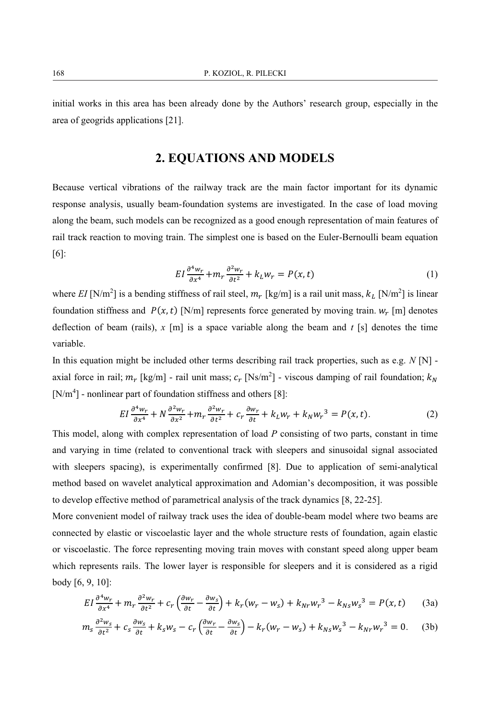initial works in this area has been already done by the Authors' research group, especially in the area of geogrids applications [21].

# **2. EQUATIONS AND MODELS**

Because vertical vibrations of the railway track are the main factor important for its dynamic response analysis, usually beam-foundation systems are investigated. In the case of load moving along the beam, such models can be recognized as a good enough representation of main features of rail track reaction to moving train. The simplest one is based on the Euler-Bernoulli beam equation [6]:

$$
EI\frac{\partial^4 w_r}{\partial x^4} + m_r \frac{\partial^2 w_r}{\partial t^2} + k_L w_r = P(x, t)
$$
 (1)

where  $EI$  [N/m<sup>2</sup>] is a bending stiffness of rail steel,  $m_r$  [kg/m] is a rail unit mass,  $k_L$  [N/m<sup>2</sup>] is linear foundation stiffness and  $P(x, t)$  [N/m] represents force generated by moving train.  $w_r$  [m] denotes deflection of beam (rails),  $x \text{ [m]}$  is a space variable along the beam and  $t \text{ [s]}$  denotes the time variable.

In this equation might be included other terms describing rail track properties, such as e.g. *N* [N] axial force in rail;  $m_r$  [kg/m] - rail unit mass;  $c_r$  [Ns/m<sup>2</sup>] - viscous damping of rail foundation;  $k_N$ [N/m<sup>4</sup>] - nonlinear part of foundation stiffness and others [8]:

$$
EI\frac{\partial^4 w_r}{\partial x^4} + N\frac{\partial^2 w_r}{\partial x^2} + m_r \frac{\partial^2 w_r}{\partial t^2} + c_r \frac{\partial w_r}{\partial t} + k_L w_r + k_N w_r^3 = P(x, t).
$$
 (2)

This model, along with complex representation of load *P* consisting of two parts, constant in time and varying in time (related to conventional track with sleepers and sinusoidal signal associated with sleepers spacing), is experimentally confirmed [8]. Due to application of semi-analytical method based on wavelet analytical approximation and Adomian's decomposition, it was possible to develop effective method of parametrical analysis of the track dynamics [8, 22-25].

More convenient model of railway track uses the idea of double-beam model where two beams are connected by elastic or viscoelastic layer and the whole structure rests of foundation, again elastic or viscoelastic. The force representing moving train moves with constant speed along upper beam which represents rails. The lower layer is responsible for sleepers and it is considered as a rigid body [6, 9, 10]:

$$
EI\frac{\partial^4 w_r}{\partial x^4} + m_r \frac{\partial^2 w_r}{\partial t^2} + c_r \left(\frac{\partial w_r}{\partial t} - \frac{\partial w_s}{\partial t}\right) + k_r(w_r - w_s) + k_{Nr} w_r^3 - k_{Ns} w_s^3 = P(x, t)
$$
 (3a)

$$
m_s \frac{\partial^2 w_s}{\partial t^2} + c_s \frac{\partial w_s}{\partial t} + k_s w_s - c_r \left( \frac{\partial w_r}{\partial t} - \frac{\partial w_s}{\partial t} \right) - k_r (w_r - w_s) + k_{Ns} w_s^3 - k_{Nr} w_r^3 = 0. \tag{3b}
$$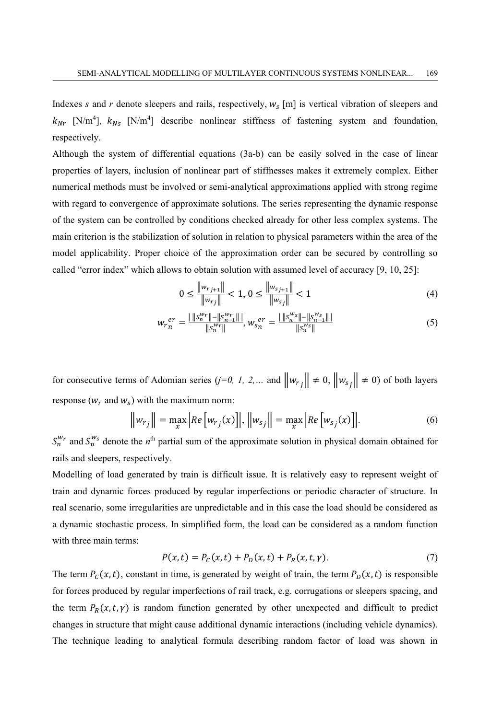Indexes *s* and *r* denote sleepers and rails, respectively,  $w_s$  [m] is vertical vibration of sleepers and  $k_{Nr}$  [N/m<sup>4</sup>],  $k_{Ns}$  [N/m<sup>4</sup>] describe nonlinear stiffness of fastening system and foundation, respectively.

Although the system of differential equations (3a-b) can be easily solved in the case of linear properties of layers, inclusion of nonlinear part of stiffnesses makes it extremely complex. Either numerical methods must be involved or semi-analytical approximations applied with strong regime with regard to convergence of approximate solutions. The series representing the dynamic response of the system can be controlled by conditions checked already for other less complex systems. The main criterion is the stabilization of solution in relation to physical parameters within the area of the model applicability. Proper choice of the approximation order can be secured by controlling so called "error index" which allows to obtain solution with assumed level of accuracy [9, 10, 25]:

$$
0 \le \frac{\|w_{r_{j+1}}\|}{\|w_{r_j}\|} < 1, \, 0 \le \frac{\|w_{s_{j+1}}\|}{\|w_{s_j}\|} < 1 \tag{4}
$$

$$
w_{r}^{er} = \frac{|\|s_n^{w_r}\| - \|s_{n-1}^{w_r}\|}{\|s_n^{w_r}\|}, w_{s}^{er} = \frac{|\|s_n^{w_s}\| - \|s_{n-1}^{w_s}\|}{\|s_n^{w_s}\|} \tag{5}
$$

for consecutive terms of Adomian series (*j*=0, *I*, 2,... and  $\left\|w_{rj}\right\| \neq 0$ ,  $\left\|w_{sj}\right\| \neq 0$ ) of both layers response ( $w_r$  and  $w_s$ ) with the maximum norm:

$$
\|w_{rj}\| = \max_{x} |Re[w_{rj}(x)]|, \|w_{sj}\| = \max_{x} |Re[w_{sj}(x)]|.
$$
 (6)

 $S_n^{w_r}$  and  $S_n^{w_s}$  denote the *n*<sup>th</sup> partial sum of the approximate solution in physical domain obtained for rails and sleepers, respectively.

Modelling of load generated by train is difficult issue. It is relatively easy to represent weight of train and dynamic forces produced by regular imperfections or periodic character of structure. In real scenario, some irregularities are unpredictable and in this case the load should be considered as a dynamic stochastic process. In simplified form, the load can be considered as a random function with three main terms:

$$
P(x,t) = P_c(x,t) + P_D(x,t) + P_R(x,t,\gamma).
$$
 (7)

The term  $P_c(x, t)$ , constant in time, is generated by weight of train, the term  $P_b(x, t)$  is responsible for forces produced by regular imperfections of rail track, e.g. corrugations or sleepers spacing, and the term  $P_R(x, t, \gamma)$  is random function generated by other unexpected and difficult to predict changes in structure that might cause additional dynamic interactions (including vehicle dynamics). The technique leading to analytical formula describing random factor of load was shown in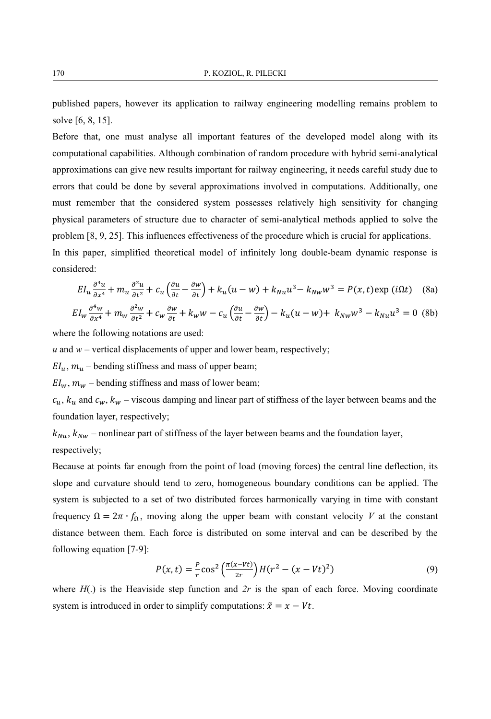published papers, however its application to railway engineering modelling remains problem to solve [6, 8, 15].

Before that, one must analyse all important features of the developed model along with its computational capabilities. Although combination of random procedure with hybrid semi-analytical approximations can give new results important for railway engineering, it needs careful study due to errors that could be done by several approximations involved in computations. Additionally, one must remember that the considered system possesses relatively high sensitivity for changing physical parameters of structure due to character of semi-analytical methods applied to solve the problem [8, 9, 25]. This influences effectiveness of the procedure which is crucial for applications.

In this paper, simplified theoretical model of infinitely long double-beam dynamic response is considered:

$$
EI_u \frac{\partial^4 u}{\partial x^4} + m_u \frac{\partial^2 u}{\partial t^2} + c_u \left(\frac{\partial u}{\partial t} - \frac{\partial w}{\partial t}\right) + k_u(u - w) + k_{Nu}u^3 - k_{Nw}w^3 = P(x, t) \exp(i\Omega t) \tag{8a}
$$

$$
EI_w \frac{\partial^4 w}{\partial x^4} + m_w \frac{\partial^2 w}{\partial t^2} + c_w \frac{\partial w}{\partial t} + k_w w - c_u \left(\frac{\partial u}{\partial t} - \frac{\partial w}{\partial t}\right) - k_u (u - w) + k_{Nw} w^3 - k_{Nu} u^3 = 0
$$
 (8b)

where the following notations are used:

 $u$  and  $w$  – vertical displacements of upper and lower beam, respectively;

 $EI_u$ ,  $m_u$  – bending stiffness and mass of upper beam;

 $EI_w$ ,  $m_w$  – bending stiffness and mass of lower beam;

 $c_u$ ,  $k_u$  and  $c_w$ ,  $k_w$  – viscous damping and linear part of stiffness of the layer between beams and the foundation layer, respectively;

 $k_{Nu}$ ,  $k_{Nu}$  – nonlinear part of stiffness of the layer between beams and the foundation layer, respectively;

Because at points far enough from the point of load (moving forces) the central line deflection, its slope and curvature should tend to zero, homogeneous boundary conditions can be applied. The system is subjected to a set of two distributed forces harmonically varying in time with constant frequency  $\Omega = 2\pi \cdot f_{\Omega}$ , moving along the upper beam with constant velocity *V* at the constant distance between them. Each force is distributed on some interval and can be described by the following equation [7-9]:

$$
P(x,t) = \frac{P}{r} \cos^2 \left(\frac{\pi(x - vt)}{2r}\right) H(r^2 - (x - Vt)^2)
$$
\n(9)

where  $H(.)$  is the Heaviside step function and  $2r$  is the span of each force. Moving coordinate system is introduced in order to simplify computations:  $\tilde{x} = x - Vt$ .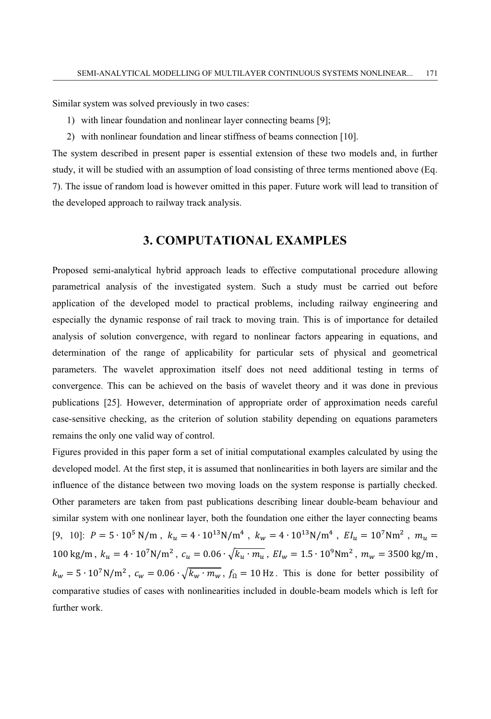Similar system was solved previously in two cases:

- 1) with linear foundation and nonlinear layer connecting beams [9];
- 2) with nonlinear foundation and linear stiffness of beams connection [10].

The system described in present paper is essential extension of these two models and, in further study, it will be studied with an assumption of load consisting of three terms mentioned above (Eq. 7). The issue of random load is however omitted in this paper. Future work will lead to transition of the developed approach to railway track analysis.

## **3. COMPUTATIONAL EXAMPLES**

Proposed semi-analytical hybrid approach leads to effective computational procedure allowing parametrical analysis of the investigated system. Such a study must be carried out before application of the developed model to practical problems, including railway engineering and especially the dynamic response of rail track to moving train. This is of importance for detailed analysis of solution convergence, with regard to nonlinear factors appearing in equations, and determination of the range of applicability for particular sets of physical and geometrical parameters. The wavelet approximation itself does not need additional testing in terms of convergence. This can be achieved on the basis of wavelet theory and it was done in previous publications [25]. However, determination of appropriate order of approximation needs careful case-sensitive checking, as the criterion of solution stability depending on equations parameters remains the only one valid way of control.

Figures provided in this paper form a set of initial computational examples calculated by using the developed model. At the first step, it is assumed that nonlinearities in both layers are similar and the influence of the distance between two moving loads on the system response is partially checked. Other parameters are taken from past publications describing linear double-beam behaviour and similar system with one nonlinear layer, both the foundation one either the layer connecting beams [9, 10]:  $P = 5 \cdot 10^5$  N/m,  $k_u = 4 \cdot 10^{13}$ N/m<sup>4</sup>,  $k_w = 4 \cdot 10^{13}$ N/m<sup>4</sup>,  $EI_u = 10^7$ Nm<sup>2</sup>,  $m_u =$  $100 \text{ kg/m}$ ,  $k_u = 4 \cdot 10^7 \text{N/m}^2$ ,  $c_u = 0.06 \cdot \sqrt{k_u \cdot m_u}$ ,  $EI_w = 1.5 \cdot 10^9 \text{Nm}^2$ ,  $m_w = 3500 \text{ kg/m}$ ,  $k_w = 5 \cdot 10^7 \text{ N/m}^2$ ,  $c_w = 0.06 \cdot \sqrt{k_w \cdot m_w}$ ,  $f_{\Omega} = 10 \text{ Hz}$ . This is done for better possibility of comparative studies of cases with nonlinearities included in double-beam models which is left for further work.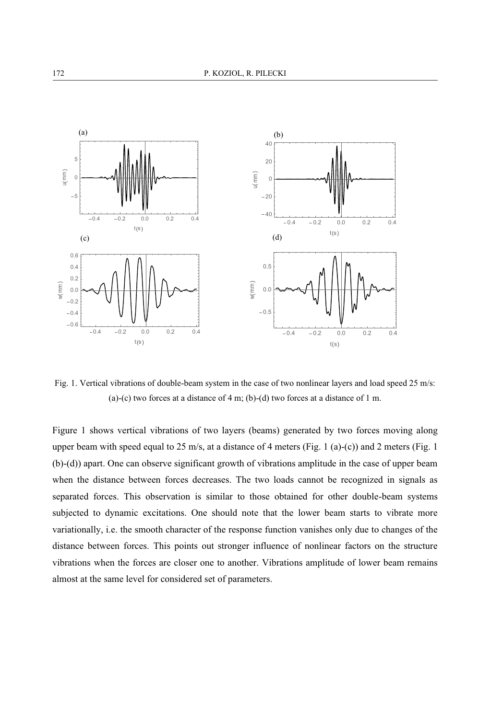

Fig. 1. Vertical vibrations of double-beam system in the case of two nonlinear layers and load speed 25 m/s: (a)-(c) two forces at a distance of 4 m; (b)-(d) two forces at a distance of 1 m.

Figure 1 shows vertical vibrations of two layers (beams) generated by two forces moving along upper beam with speed equal to  $25 \text{ m/s}$ , at a distance of 4 meters (Fig. 1 (a)-(c)) and 2 meters (Fig. 1 (b)-(d)) apart. One can observe significant growth of vibrations amplitude in the case of upper beam when the distance between forces decreases. The two loads cannot be recognized in signals as separated forces. This observation is similar to those obtained for other double-beam systems subjected to dynamic excitations. One should note that the lower beam starts to vibrate more variationally, i.e. the smooth character of the response function vanishes only due to changes of the distance between forces. This points out stronger influence of nonlinear factors on the structure vibrations when the forces are closer one to another. Vibrations amplitude of lower beam remains almost at the same level for considered set of parameters.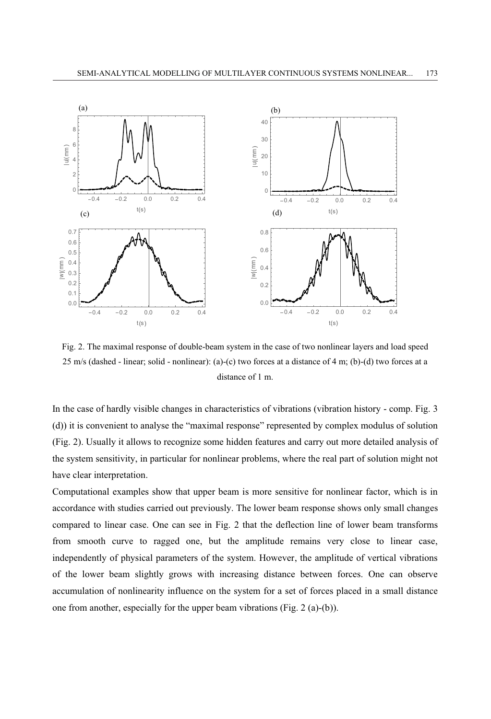

Fig. 2. The maximal response of double-beam system in the case of two nonlinear layers and load speed 25 m/s (dashed - linear; solid - nonlinear): (a)-(c) two forces at a distance of 4 m; (b)-(d) two forces at a distance of 1 m.

In the case of hardly visible changes in characteristics of vibrations (vibration history - comp. Fig. 3 (d)) it is convenient to analyse the "maximal response" represented by complex modulus of solution (Fig. 2). Usually it allows to recognize some hidden features and carry out more detailed analysis of the system sensitivity, in particular for nonlinear problems, where the real part of solution might not have clear interpretation.

Computational examples show that upper beam is more sensitive for nonlinear factor, which is in accordance with studies carried out previously. The lower beam response shows only small changes compared to linear case. One can see in Fig. 2 that the deflection line of lower beam transforms from smooth curve to ragged one, but the amplitude remains very close to linear case, independently of physical parameters of the system. However, the amplitude of vertical vibrations of the lower beam slightly grows with increasing distance between forces. One can observe accumulation of nonlinearity influence on the system for a set of forces placed in a small distance one from another, especially for the upper beam vibrations (Fig. 2 (a)-(b)).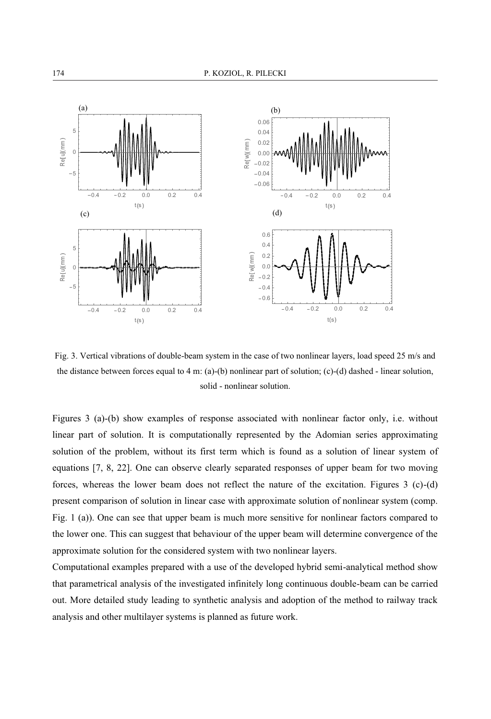

Fig. 3. Vertical vibrations of double-beam system in the case of two nonlinear layers, load speed 25 m/s and the distance between forces equal to 4 m: (a)-(b) nonlinear part of solution; (c)-(d) dashed - linear solution, solid - nonlinear solution.

Figures 3 (a)-(b) show examples of response associated with nonlinear factor only, i.e. without linear part of solution. It is computationally represented by the Adomian series approximating solution of the problem, without its first term which is found as a solution of linear system of equations [7, 8, 22]. One can observe clearly separated responses of upper beam for two moving forces, whereas the lower beam does not reflect the nature of the excitation. Figures 3 (c)-(d) present comparison of solution in linear case with approximate solution of nonlinear system (comp. Fig. 1 (a)). One can see that upper beam is much more sensitive for nonlinear factors compared to the lower one. This can suggest that behaviour of the upper beam will determine convergence of the approximate solution for the considered system with two nonlinear layers.

Computational examples prepared with a use of the developed hybrid semi-analytical method show that parametrical analysis of the investigated infinitely long continuous double-beam can be carried out. More detailed study leading to synthetic analysis and adoption of the method to railway track analysis and other multilayer systems is planned as future work.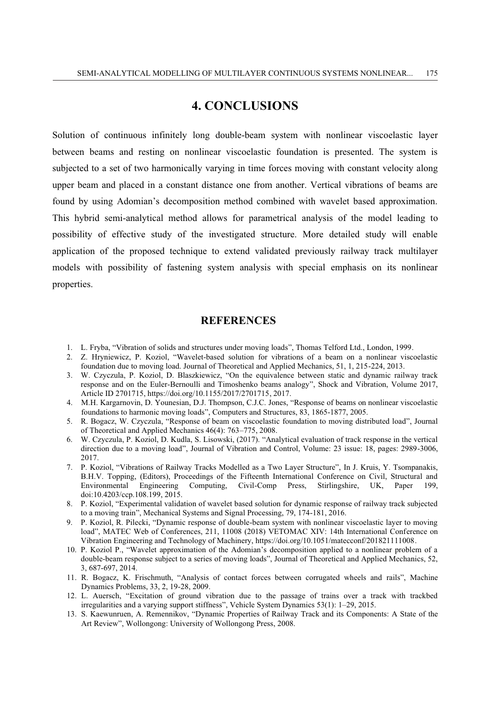#### **4. CONCLUSIONS**

Solution of continuous infinitely long double-beam system with nonlinear viscoelastic layer between beams and resting on nonlinear viscoelastic foundation is presented. The system is subjected to a set of two harmonically varying in time forces moving with constant velocity along upper beam and placed in a constant distance one from another. Vertical vibrations of beams are found by using Adomian's decomposition method combined with wavelet based approximation. This hybrid semi-analytical method allows for parametrical analysis of the model leading to possibility of effective study of the investigated structure. More detailed study will enable application of the proposed technique to extend validated previously railway track multilayer models with possibility of fastening system analysis with special emphasis on its nonlinear properties.

#### **REFERENCES**

- 1. L. Fryba, "Vibration of solids and structures under moving loads", Thomas Telford Ltd., London, 1999.
- 2. Z. Hryniewicz, P. Koziol, "Wavelet-based solution for vibrations of a beam on a nonlinear viscoelastic foundation due to moving load. Journal of Theoretical and Applied Mechanics, 51, 1, 215-224, 2013.
- 3. W. Czyczula, P. Koziol, D. Blaszkiewicz, "On the equivalence between static and dynamic railway track response and on the Euler-Bernoulli and Timoshenko beams analogy", Shock and Vibration, Volume 2017, Article ID 2701715, https://doi.org/10.1155/2017/2701715, 2017.
- 4. M.H. Kargarnovin, D. Younesian, D.J. Thompson, C.J.C. Jones, "Response of beams on nonlinear viscoelastic foundations to harmonic moving loads", Computers and Structures, 83, 1865-1877, 2005.
- 5. R. Bogacz, W. Czyczula, "Response of beam on viscoelastic foundation to moving distributed load", Journal of Theoretical and Applied Mechanics 46(4): 763–775, 2008.
- 6. W. Czyczula, P. Koziol, D. Kudla, S. Lisowski, (2017). "Analytical evaluation of track response in the vertical direction due to a moving load", Journal of Vibration and Control, Volume: 23 issue: 18, pages: 2989-3006, 2017.
- 7. P. Koziol, "Vibrations of Railway Tracks Modelled as a Two Layer Structure", In J. Kruis, Y. Tsompanakis, B.H.V. Topping, (Editors), Proceedings of the Fifteenth International Conference on Civil, Structural and Environmental Engineering Computing, Civil-Comp Press, Stirlingshire, UK, Paper 199, doi:10.4203/ccp.108.199, 2015.
- 8. P. Koziol, "Experimental validation of wavelet based solution for dynamic response of railway track subjected to a moving train", Mechanical Systems and Signal Processing, 79, 174-181, 2016.
- 9. P. Koziol, R. Pilecki, "Dynamic response of double-beam system with nonlinear viscoelastic layer to moving load", MATEC Web of Conferences, 211, 11008 (2018) VETOMAC XIV: 14th International Conference on Vibration Engineering and Technology of Machinery, https://doi.org/10.1051/matecconf/201821111008.
- 10. P. Koziol P., "Wavelet approximation of the Adomian's decomposition applied to a nonlinear problem of a double-beam response subject to a series of moving loads", Journal of Theoretical and Applied Mechanics, 52, 3, 687-697, 2014.
- 11. R. Bogacz, K. Frischmuth, "Analysis of contact forces between corrugated wheels and rails", Machine Dynamics Problems, 33, 2, 19-28, 2009.
- 12. L. Auersch, "Excitation of ground vibration due to the passage of trains over a track with trackbed irregularities and a varying support stiffness", Vehicle System Dynamics 53(1): 1–29, 2015.
- 13. S. Kaewunruen, A. Remennikov, "Dynamic Properties of Railway Track and its Components: A State of the Art Review", Wollongong: University of Wollongong Press, 2008.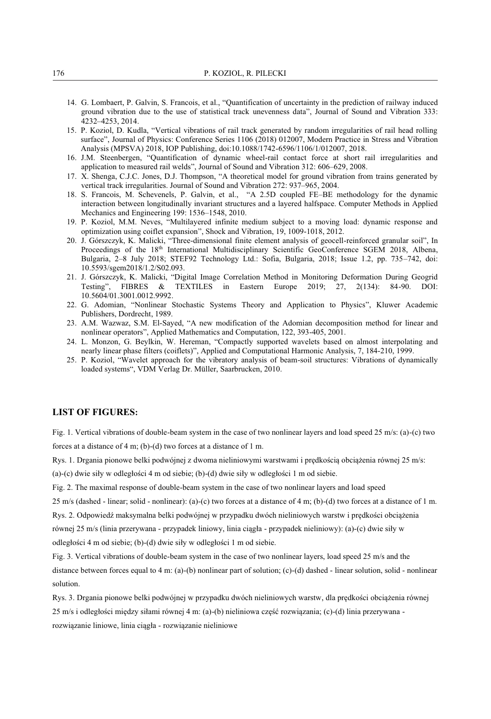- 14. G. Lombaert, P. Galvin, S. Francois, et al., "Quantification of uncertainty in the prediction of railway induced ground vibration due to the use of statistical track unevenness data", Journal of Sound and Vibration 333: 4232–4253, 2014.
- 15. P. Koziol, D. Kudla, "Vertical vibrations of rail track generated by random irregularities of rail head rolling surface", Journal of Physics: Conference Series 1106 (2018) 012007, Modern Practice in Stress and Vibration Analysis (MPSVA) 2018, IOP Publishing, doi:10.1088/1742-6596/1106/1/012007, 2018.
- 16. J.M. Steenbergen, "Quantification of dynamic wheel-rail contact force at short rail irregularities and application to measured rail welds", Journal of Sound and Vibration 312: 606–629, 2008.
- 17. X. Shenga, C.J.C. Jones, D.J. Thompson, "A theoretical model for ground vibration from trains generated by vertical track irregularities. Journal of Sound and Vibration 272: 937–965, 2004.
- 18. S. Francois, M. Schevenels, P. Galvin, et al., "A 2.5D coupled FE–BE methodology for the dynamic interaction between longitudinally invariant structures and a layered halfspace. Computer Methods in Applied Mechanics and Engineering 199: 1536–1548, 2010.
- 19. P. Koziol, M.M. Neves, "Multilayered infinite medium subject to a moving load: dynamic response and optimization using coiflet expansion", Shock and Vibration, 19, 1009-1018, 2012.
- 20. J. Górszczyk, K. Malicki, "Three-dimensional finite element analysis of geocell-reinforced granular soil", In Proceedings of the 18<sup>th</sup> International Multidisciplinary Scientific GeoConference SGEM 2018, Albena, Bulgaria, 2–8 July 2018; STEF92 Technology Ltd.: Sofia, Bulgaria, 2018; Issue 1.2, pp. 735–742, doi: 10.5593/sgem2018/1.2/S02.093.
- 21. J. Górszczyk, K. Malicki, "Digital Image Correlation Method in Monitoring Deformation During Geogrid Testing", FIBRES & TEXTILES in Eastern Europe 2019; 27, 2(134): 84-90. DOI: 10.5604/01.3001.0012.9992.
- 22. G. Adomian, "Nonlinear Stochastic Systems Theory and Application to Physics", Kluwer Academic Publishers, Dordrecht, 1989.
- 23. A.M. Wazwaz, S.M. El-Sayed, "A new modification of the Adomian decomposition method for linear and nonlinear operators", Applied Mathematics and Computation, 122, 393-405, 2001.
- 24. L. Monzon, G. Beylkin, W. Hereman, "Compactly supported wavelets based on almost interpolating and nearly linear phase filters (coiflets)", Applied and Computational Harmonic Analysis, 7, 184-210, 1999.
- 25. P. Koziol, "Wavelet approach for the vibratory analysis of beam-soil structures: Vibrations of dynamically loaded systems", VDM Verlag Dr. Müller, Saarbrucken, 2010.

#### **LIST OF FIGURES:**

Fig. 1. Vertical vibrations of double-beam system in the case of two nonlinear layers and load speed 25 m/s: (a)-(c) two forces at a distance of 4 m; (b)-(d) two forces at a distance of 1 m.

Rys. 1. Drgania pionowe belki podwójnej z dwoma nieliniowymi warstwami i prędkością obciążenia równej 25 m/s:

(a)-(c) dwie siły w odległości 4 m od siebie; (b)-(d) dwie siły w odległości 1 m od siebie.

Fig. 2. The maximal response of double-beam system in the case of two nonlinear layers and load speed

 $25 \text{ m/s}$  (dashed - linear; solid - nonlinear): (a)-(c) two forces at a distance of 4 m; (b)-(d) two forces at a distance of 1 m.

Rys. 2. Odpowiedź maksymalna belki podwójnej w przypadku dwóch nieliniowych warstw i prędkości obciążenia

równej 25 m/s (linia przerywana - przypadek liniowy, linia ciągła - przypadek nieliniowy): (a)-(c) dwie siły w odległości 4 m od siebie; (b)-(d) dwie siły w odległości 1 m od siebie.

Fig. 3. Vertical vibrations of double-beam system in the case of two nonlinear layers, load speed 25 m/s and the

distance between forces equal to 4 m: (a)-(b) nonlinear part of solution; (c)-(d) dashed - linear solution, solid - nonlinear solution.

Rys. 3. Drgania pionowe belki podwójnej w przypadku dwóch nieliniowych warstw, dla prędkości obciążenia równej

25 m/s i odległości między siłami równej 4 m: (a)-(b) nieliniowa część rozwiązania; (c)-(d) linia przerywana rozwiązanie liniowe, linia ciągła - rozwiązanie nieliniowe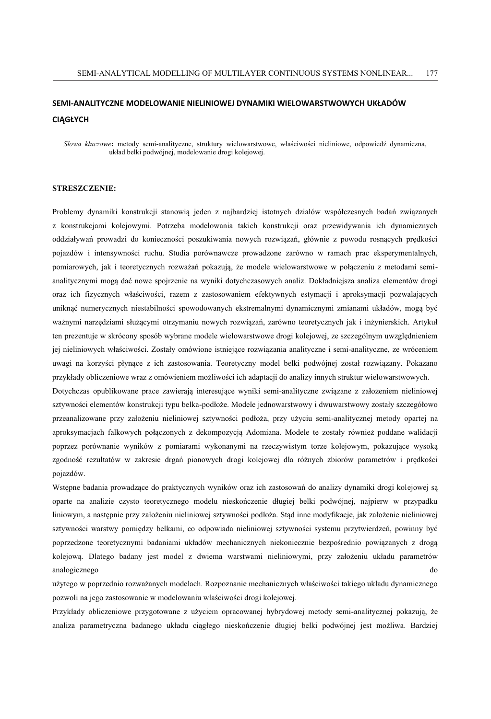#### **SEMI-ANALITYCZNE MODELOWANIE NIELINIOWEJ DYNAMIKI WIELOWARSTWOWYCH UKŁADÓW CIĄGŁYCH**

*Słowa kluczowe***:** metody semi-analityczne, struktury wielowarstwowe, właściwości nieliniowe, odpowiedź dynamiczna, układ belki podwójnej, modelowanie drogi kolejowej.

#### **STRESZCZENIE:**

Problemy dynamiki konstrukcji stanowią jeden z najbardziej istotnych działów współczesnych badań związanych z konstrukcjami kolejowymi. Potrzeba modelowania takich konstrukcji oraz przewidywania ich dynamicznych oddziaływań prowadzi do konieczności poszukiwania nowych rozwiązań, głównie z powodu rosnących prędkości pojazdów i intensywności ruchu. Studia porównawcze prowadzone zarówno w ramach prac eksperymentalnych, pomiarowych, jak i teoretycznych rozważań pokazują, że modele wielowarstwowe w połączeniu z metodami semianalitycznymi mogą dać nowe spojrzenie na wyniki dotychczasowych analiz. Dokładniejsza analiza elementów drogi oraz ich fizycznych właściwości, razem z zastosowaniem efektywnych estymacji i aproksymacji pozwalających uniknąć numerycznych niestabilności spowodowanych ekstremalnymi dynamicznymi zmianami układów, mogą być ważnymi narzędziami służącymi otrzymaniu nowych rozwiązań, zarówno teoretycznych jak i inżynierskich. Artykuł ten prezentuje w skrócony sposób wybrane modele wielowarstwowe drogi kolejowej, ze szczególnym uwzględnieniem jej nieliniowych właściwości. Zostały omówione istniejące rozwiązania analityczne i semi-analityczne, ze wróceniem uwagi na korzyści płynące z ich zastosowania. Teoretyczny model belki podwójnej został rozwiązany. Pokazano przykłady obliczeniowe wraz z omówieniem możliwości ich adaptacji do analizy innych struktur wielowarstwowych.

Dotychczas opublikowane prace zawierają interesujące wyniki semi-analityczne związane z założeniem nieliniowej sztywności elementów konstrukcji typu belka-podłoże. Modele jednowarstwowy i dwuwarstwowy zostały szczegółowo przeanalizowane przy założeniu nieliniowej sztywności podłoża, przy użyciu semi-analitycznej metody opartej na aproksymacjach falkowych połączonych z dekompozycją Adomiana. Modele te zostały również poddane walidacji poprzez porównanie wyników z pomiarami wykonanymi na rzeczywistym torze kolejowym, pokazujące wysoką zgodność rezultatów w zakresie drgań pionowych drogi kolejowej dla różnych zbiorów parametrów i prędkości pojazdów.

Wstępne badania prowadzące do praktycznych wyników oraz ich zastosowań do analizy dynamiki drogi kolejowej są oparte na analizie czysto teoretycznego modelu nieskończenie długiej belki podwójnej, najpierw w przypadku liniowym, a następnie przy założeniu nieliniowej sztywności podłoża. Stąd inne modyfikacje, jak założenie nieliniowej sztywności warstwy pomiędzy belkami, co odpowiada nieliniowej sztywności systemu przytwierdzeń, powinny być poprzedzone teoretycznymi badaniami układów mechanicznych niekoniecznie bezpośrednio powiązanych z drogą kolejową. Dlatego badany jest model z dwiema warstwami nieliniowymi, przy założeniu układu parametrów analogicznego do

użytego w poprzednio rozważanych modelach. Rozpoznanie mechanicznych właściwości takiego układu dynamicznego pozwoli na jego zastosowanie w modelowaniu właściwości drogi kolejowej.

Przykłady obliczeniowe przygotowane z użyciem opracowanej hybrydowej metody semi-analitycznej pokazują, że analiza parametryczna badanego układu ciągłego nieskończenie długiej belki podwójnej jest możliwa. Bardziej